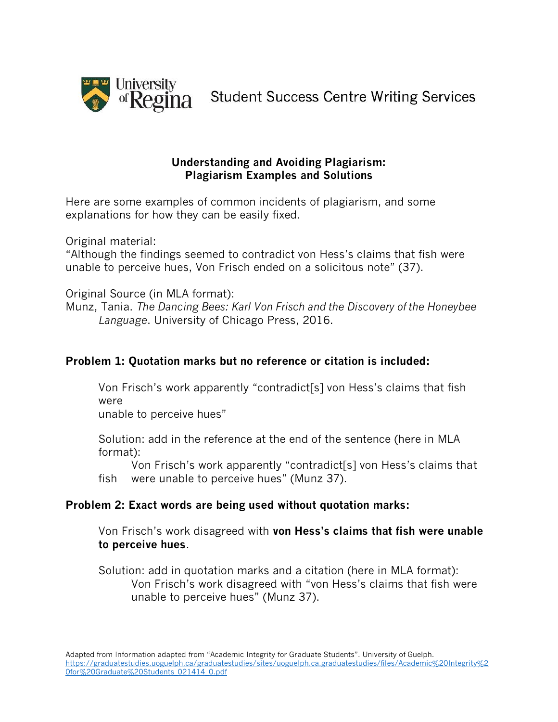

**Student Success Centre Writing Services** 

### **Understanding and Avoiding Plagiarism: Plagiarism Examples and Solutions**

Here are some examples of common incidents of plagiarism, and some explanations for how they can be easily fixed.

Original material:

"Although the findings seemed to contradict von Hess's claims that fish were unable to perceive hues, Von Frisch ended on a solicitous note" (37).

Original Source (in MLA format):

Munz, Tania. *The Dancing Bees: Karl Von Frisch and the Discovery of the Honeybee Language*. University of Chicago Press, 2016.

# **Problem 1: Quotation marks but no reference or citation is included:**

Von Frisch's work apparently "contradict[s] von Hess's claims that fish were

unable to perceive hues"

Solution: add in the reference at the end of the sentence (here in MLA format):

Von Frisch's work apparently "contradict[s] von Hess's claims that fish were unable to perceive hues" (Munz 37).

## **Problem 2: Exact words are being used without quotation marks:**

Von Frisch's work disagreed with **von Hess's claims that fish were unable to perceive hues**.

Solution: add in quotation marks and a citation (here in MLA format): Von Frisch's work disagreed with "von Hess's claims that fish were unable to perceive hues" (Munz 37).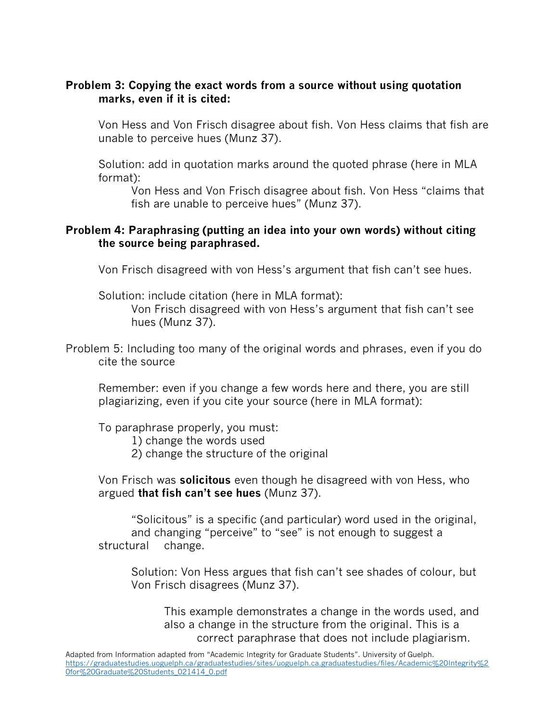### **Problem 3: Copying the exact words from a source without using quotation marks, even if it is cited:**

Von Hess and Von Frisch disagree about fish. Von Hess claims that fish are unable to perceive hues (Munz 37).

Solution: add in quotation marks around the quoted phrase (here in MLA format):

Von Hess and Von Frisch disagree about fish. Von Hess "claims that fish are unable to perceive hues" (Munz 37).

### **Problem 4: Paraphrasing (putting an idea into your own words) without citing the source being paraphrased.**

Von Frisch disagreed with von Hess's argument that fish can't see hues.

Solution: include citation (here in MLA format):

Von Frisch disagreed with von Hess's argument that fish can't see hues (Munz 37).

Problem 5: Including too many of the original words and phrases, even if you do cite the source

Remember: even if you change a few words here and there, you are still plagiarizing, even if you cite your source (here in MLA format):

To paraphrase properly, you must:

1) change the words used

2) change the structure of the original

Von Frisch was **solicitous** even though he disagreed with von Hess, who argued **that fish can't see hues** (Munz 37).

"Solicitous" is a specific (and particular) word used in the original, and changing "perceive" to "see" is not enough to suggest a structural change.

Solution: Von Hess argues that fish can't see shades of colour, but Von Frisch disagrees (Munz 37).

This example demonstrates a change in the words used, and also a change in the structure from the original. This is a correct paraphrase that does not include plagiarism.